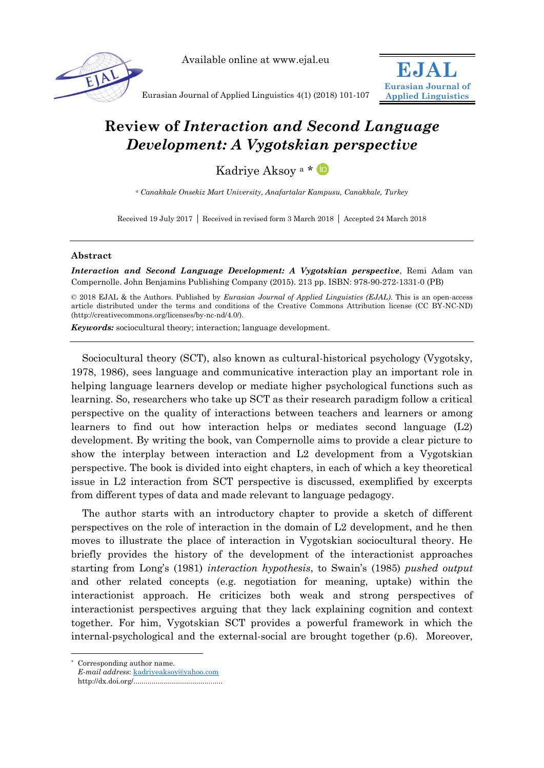

Available online at www.ejal.eu



Eurasian Journal of Applied Linguistics 4(1) (2018) 101-107

# **Review of** *Interaction and Second Language Development: A Vygotskian perspective*

Kadriye Aksoy <sup>a</sup> \*

*<sup>a</sup> Canakkale Onsekiz Mart University, Anafartalar Kampusu, Canakkale, Turkey*

Received 19 July 2017 | Received in revised form 3 March 2018 | Accepted 24 March 2018

# **Abstract**

*Interaction and Second Language Development: A Vygotskian perspective*, Remi Adam van Compernolle. John Benjamins Publishing Company (2015). 213 pp. ISBN: 978-90-272-1331-0 (PB)

© 2018 EJAL & the Authors. Published by *Eurasian Journal of Applied Linguistics (EJAL)*. This is an open-access article distributed under the terms and conditions of the Creative Commons Attribution license (CC BY-NC-ND) (http://creativecommons.org/licenses/by-nc-nd/4.0/).

*Keywords:* sociocultural theory; interaction; language development.

Sociocultural theory (SCT), also known as cultural-historical psychology (Vygotsky, 1978, 1986), sees language and communicative interaction play an important role in helping language learners develop or mediate higher psychological functions such as learning. So, researchers who take up SCT as their research paradigm follow a critical perspective on the quality of interactions between teachers and learners or among learners to find out how interaction helps or mediates second language (L2) development. By writing the book, van Compernolle aims to provide a clear picture to show the interplay between interaction and L2 development from a Vygotskian perspective. The book is divided into eight chapters, in each of which a key theoretical issue in L2 interaction from SCT perspective is discussed, exemplified by excerpts from different types of data and made relevant to language pedagogy.

The author starts with an introductory chapter to provide a sketch of different perspectives on the role of interaction in the domain of L2 development, and he then moves to illustrate the place of interaction in Vygotskian sociocultural theory. He briefly provides the history of the development of the interactionist approaches starting from Long's (1981) *interaction hypothesis*, to Swain's (1985) *pushed output* and other related concepts (e.g. negotiation for meaning, uptake) within the interactionist approach. He criticizes both weak and strong perspectives of interactionist perspectives arguing that they lack explaining cognition and context together. For him, Vygotskian SCT provides a powerful framework in which the internal-psychological and the external-social are brought together (p.6). Moreover,

-

<sup>\*</sup> Corresponding author name.

*E-mail address*: [kadriyeaksoy@yahoo.com](mailto:kadriyeaksoy@yahoo.com)

http://dx.doi.org/............................................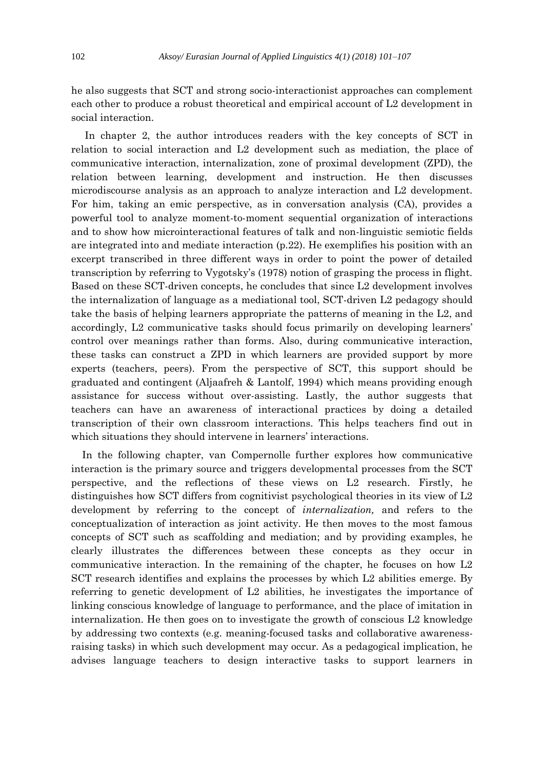he also suggests that SCT and strong socio-interactionist approaches can complement each other to produce a robust theoretical and empirical account of L2 development in social interaction.

In chapter 2, the author introduces readers with the key concepts of SCT in relation to social interaction and L2 development such as mediation, the place of communicative interaction, internalization, zone of proximal development (ZPD), the relation between learning, development and instruction. He then discusses microdiscourse analysis as an approach to analyze interaction and L2 development. For him, taking an emic perspective, as in conversation analysis (CA), provides a powerful tool to analyze moment-to-moment sequential organization of interactions and to show how microinteractional features of talk and non-linguistic semiotic fields are integrated into and mediate interaction (p.22). He exemplifies his position with an excerpt transcribed in three different ways in order to point the power of detailed transcription by referring to Vygotsky's (1978) notion of grasping the process in flight. Based on these SCT-driven concepts, he concludes that since L2 development involves the internalization of language as a mediational tool, SCT-driven L2 pedagogy should take the basis of helping learners appropriate the patterns of meaning in the L2, and accordingly, L2 communicative tasks should focus primarily on developing learners' control over meanings rather than forms. Also, during communicative interaction, these tasks can construct a ZPD in which learners are provided support by more experts (teachers, peers). From the perspective of SCT, this support should be graduated and contingent (Aljaafreh & Lantolf, 1994) which means providing enough assistance for success without over-assisting. Lastly, the author suggests that teachers can have an awareness of interactional practices by doing a detailed transcription of their own classroom interactions. This helps teachers find out in which situations they should intervene in learners' interactions.

In the following chapter, van Compernolle further explores how communicative interaction is the primary source and triggers developmental processes from the SCT perspective, and the reflections of these views on L2 research. Firstly, he distinguishes how SCT differs from cognitivist psychological theories in its view of L2 development by referring to the concept of *internalization,* and refers to the conceptualization of interaction as joint activity. He then moves to the most famous concepts of SCT such as scaffolding and mediation; and by providing examples, he clearly illustrates the differences between these concepts as they occur in communicative interaction. In the remaining of the chapter, he focuses on how L2 SCT research identifies and explains the processes by which L2 abilities emerge. By referring to genetic development of L2 abilities, he investigates the importance of linking conscious knowledge of language to performance, and the place of imitation in internalization. He then goes on to investigate the growth of conscious L2 knowledge by addressing two contexts (e.g. meaning-focused tasks and collaborative awarenessraising tasks) in which such development may occur. As a pedagogical implication, he advises language teachers to design interactive tasks to support learners in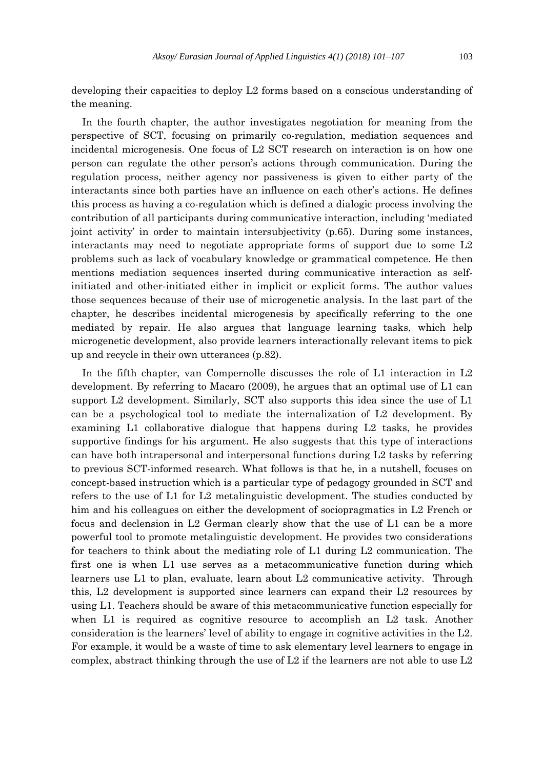developing their capacities to deploy L2 forms based on a conscious understanding of the meaning.

In the fourth chapter, the author investigates negotiation for meaning from the perspective of SCT, focusing on primarily co-regulation, mediation sequences and incidental microgenesis. One focus of L2 SCT research on interaction is on how one person can regulate the other person's actions through communication. During the regulation process, neither agency nor passiveness is given to either party of the interactants since both parties have an influence on each other's actions. He defines this process as having a co-regulation which is defined a dialogic process involving the contribution of all participants during communicative interaction, including 'mediated joint activity' in order to maintain intersubjectivity (p.65). During some instances, interactants may need to negotiate appropriate forms of support due to some L2 problems such as lack of vocabulary knowledge or grammatical competence. He then mentions mediation sequences inserted during communicative interaction as selfinitiated and other-initiated either in implicit or explicit forms. The author values those sequences because of their use of microgenetic analysis. In the last part of the chapter, he describes incidental microgenesis by specifically referring to the one mediated by repair. He also argues that language learning tasks, which help microgenetic development, also provide learners interactionally relevant items to pick up and recycle in their own utterances (p.82).

In the fifth chapter, van Compernolle discusses the role of L1 interaction in L2 development. By referring to Macaro (2009), he argues that an optimal use of L1 can support L2 development. Similarly, SCT also supports this idea since the use of L1 can be a psychological tool to mediate the internalization of L2 development. By examining L1 collaborative dialogue that happens during L2 tasks, he provides supportive findings for his argument. He also suggests that this type of interactions can have both intrapersonal and interpersonal functions during L2 tasks by referring to previous SCT-informed research. What follows is that he, in a nutshell, focuses on concept-based instruction which is a particular type of pedagogy grounded in SCT and refers to the use of L1 for L2 metalinguistic development. The studies conducted by him and his colleagues on either the development of sociopragmatics in L2 French or focus and declension in L2 German clearly show that the use of L1 can be a more powerful tool to promote metalinguistic development. He provides two considerations for teachers to think about the mediating role of L1 during L2 communication. The first one is when L1 use serves as a metacommunicative function during which learners use L1 to plan, evaluate, learn about L2 communicative activity. Through this, L2 development is supported since learners can expand their L2 resources by using L1. Teachers should be aware of this metacommunicative function especially for when L1 is required as cognitive resource to accomplish an L2 task. Another consideration is the learners' level of ability to engage in cognitive activities in the L2. For example, it would be a waste of time to ask elementary level learners to engage in complex, abstract thinking through the use of  $L2$  if the learners are not able to use  $L2$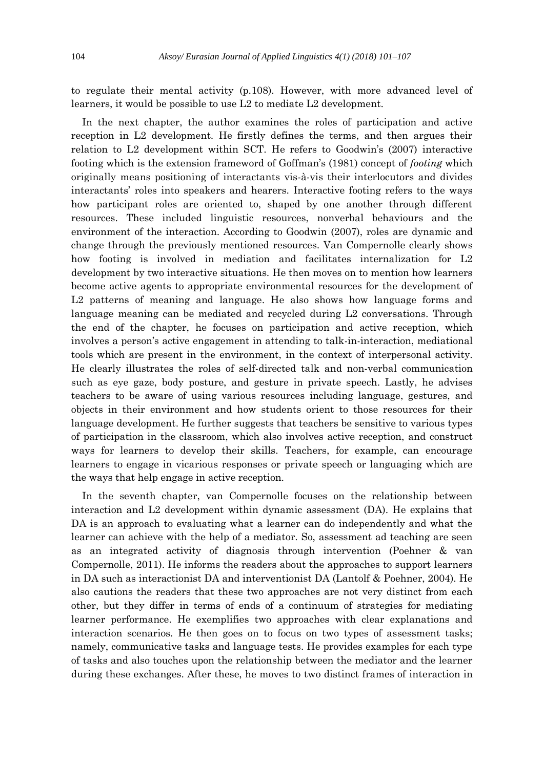to regulate their mental activity (p.108). However, with more advanced level of learners, it would be possible to use L2 to mediate L2 development.

In the next chapter, the author examines the roles of participation and active reception in L2 development. He firstly defines the terms, and then argues their relation to L2 development within SCT. He refers to Goodwin's (2007) interactive footing which is the extension frameword of Goffman's (1981) concept of *footing* which originally means positioning of interactants vis-à-vis their interlocutors and divides interactants' roles into speakers and hearers. Interactive footing refers to the ways how participant roles are oriented to, shaped by one another through different resources. These included linguistic resources, nonverbal behaviours and the environment of the interaction. According to Goodwin (2007), roles are dynamic and change through the previously mentioned resources. Van Compernolle clearly shows how footing is involved in mediation and facilitates internalization for L2 development by two interactive situations. He then moves on to mention how learners become active agents to appropriate environmental resources for the development of L2 patterns of meaning and language. He also shows how language forms and language meaning can be mediated and recycled during L2 conversations. Through the end of the chapter, he focuses on participation and active reception, which involves a person's active engagement in attending to talk-in-interaction, mediational tools which are present in the environment, in the context of interpersonal activity. He clearly illustrates the roles of self-directed talk and non-verbal communication such as eye gaze, body posture, and gesture in private speech. Lastly, he advises teachers to be aware of using various resources including language, gestures, and objects in their environment and how students orient to those resources for their language development. He further suggests that teachers be sensitive to various types of participation in the classroom, which also involves active reception, and construct ways for learners to develop their skills. Teachers, for example, can encourage learners to engage in vicarious responses or private speech or languaging which are the ways that help engage in active reception.

In the seventh chapter, van Compernolle focuses on the relationship between interaction and L2 development within dynamic assessment (DA). He explains that DA is an approach to evaluating what a learner can do independently and what the learner can achieve with the help of a mediator. So, assessment ad teaching are seen as an integrated activity of diagnosis through intervention (Poehner & van Compernolle, 2011). He informs the readers about the approaches to support learners in DA such as interactionist DA and interventionist DA (Lantolf & Poehner, 2004). He also cautions the readers that these two approaches are not very distinct from each other, but they differ in terms of ends of a continuum of strategies for mediating learner performance. He exemplifies two approaches with clear explanations and interaction scenarios. He then goes on to focus on two types of assessment tasks; namely, communicative tasks and language tests. He provides examples for each type of tasks and also touches upon the relationship between the mediator and the learner during these exchanges. After these, he moves to two distinct frames of interaction in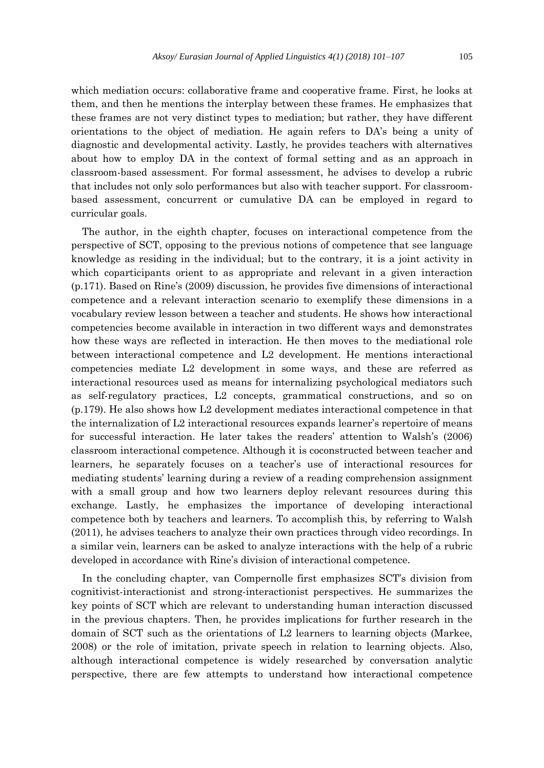which mediation occurs: collaborative frame and cooperative frame. First, he looks at them, and then he mentions the interplay between these frames. He emphasizes that these frames are not very distinct types to mediation; but rather, they have different orientations to the object of mediation. He again refers to DA's being a unity of diagnostic and developmental activity. Lastly, he provides teachers with alternatives about how to employ DA in the context of formal setting and as an approach in classroom-based assessment. For formal assessment, he advises to develop a rubric that includes not only solo performances but also with teacher support. For classroombased assessment, concurrent or cumulative DA can be employed in regard to curricular goals.

The author, in the eighth chapter, focuses on interactional competence from the perspective of SCT, opposing to the previous notions of competence that see language knowledge as residing in the individual; but to the contrary, it is a joint activity in which coparticipants orient to as appropriate and relevant in a given interaction (p.171). Based on Rine's (2009) discussion, he provides five dimensions of interactional competence and a relevant interaction scenario to exemplify these dimensions in a vocabulary review lesson between a teacher and students. He shows how interactional competencies become available in interaction in two different ways and demonstrates how these ways are reflected in interaction. He then moves to the mediational role between interactional competence and L2 development. He mentions interactional competencies mediate L2 development in some ways, and these are referred as interactional resources used as means for internalizing psychological mediators such as self-regulatory practices, L2 concepts, grammatical constructions, and so on (p.179). He also shows how L2 development mediates interactional competence in that the internalization of L2 interactional resources expands learner's repertoire of means for successful interaction. He later takes the readers' attention to Walsh's (2006) classroom interactional competence. Although it is coconstructed between teacher and learners, he separately focuses on a teacher's use of interactional resources for mediating students' learning during a review of a reading comprehension assignment with a small group and how two learners deploy relevant resources during this exchange. Lastly, he emphasizes the importance of developing interactional competence both by teachers and learners. To accomplish this, by referring to Walsh (2011), he advises teachers to analyze their own practices through video recordings. In a similar vein, learners can be asked to analyze interactions with the help of a rubric developed in accordance with Rine's division of interactional competence.

In the concluding chapter, van Compernolle first emphasizes SCT's division from cognitivist-interactionist and strong-interactionist perspectives. He summarizes the key points of SCT which are relevant to understanding human interaction discussed in the previous chapters. Then, he provides implications for further research in the domain of SCT such as the orientations of L2 learners to learning objects (Markee, 2008) or the role of imitation, private speech in relation to learning objects. Also, although interactional competence is widely researched by conversation analytic perspective, there are few attempts to understand how interactional competence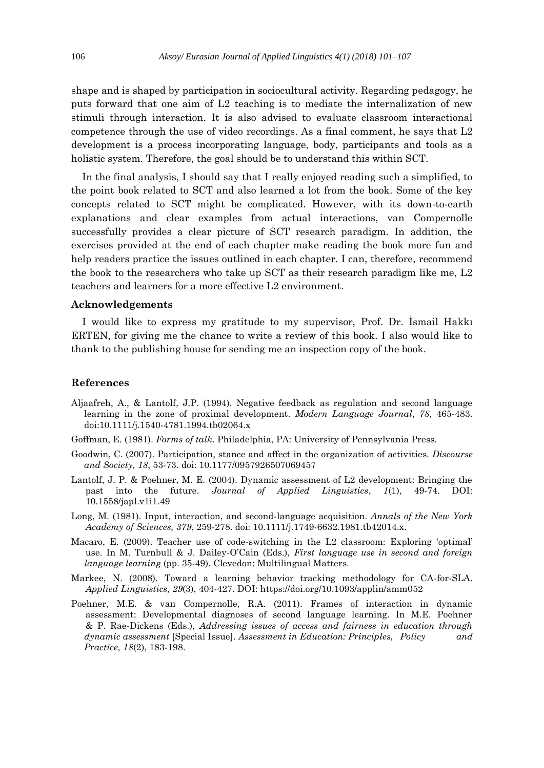shape and is shaped by participation in sociocultural activity. Regarding pedagogy, he puts forward that one aim of L2 teaching is to mediate the internalization of new stimuli through interaction. It is also advised to evaluate classroom interactional competence through the use of video recordings. As a final comment, he says that L2 development is a process incorporating language, body, participants and tools as a holistic system. Therefore, the goal should be to understand this within SCT.

In the final analysis, I should say that I really enjoyed reading such a simplified, to the point book related to SCT and also learned a lot from the book. Some of the key concepts related to SCT might be complicated. However, with its down-to-earth explanations and clear examples from actual interactions, van Compernolle successfully provides a clear picture of SCT research paradigm. In addition, the exercises provided at the end of each chapter make reading the book more fun and help readers practice the issues outlined in each chapter. I can, therefore, recommend the book to the researchers who take up SCT as their research paradigm like me, L2 teachers and learners for a more effective L2 environment.

## **Acknowledgements**

I would like to express my gratitude to my supervisor, Prof. Dr. İsmail Hakkı ERTEN, for giving me the chance to write a review of this book. I also would like to thank to the publishing house for sending me an inspection copy of the book.

## **References**

- Aljaafreh, A., & Lantolf, J.P. (1994). Negative feedback as regulation and second language learning in the zone of proximal development. *Modern Language Journal*, *78*, 465-483. doi:10.1111/j.1540-4781.1994.tb02064.x
- Goffman, E. (1981). *Forms of talk*. Philadelphia, PA: University of Pennsylvania Press.
- Goodwin, C. (2007). Participation, stance and affect in the organization of activities. *Discourse and Society, 18*, 53-73. doi: 10.1177/0957926507069457
- Lantolf, J. P. & Poehner, M. E. (2004). Dynamic assessment of L2 development: Bringing the past into the future. *Journal of Applied Linguistics*, *1*(1), 49-74. DOI: 10.1558/japl.v1i1.49
- Long, M. (1981). Input, interaction, and second-language acquisition. *Annals of the New York Academy of Sciences, 379*, 259-278. doi: 10.1111/j.1749-6632.1981.tb42014.x.
- Macaro, E. (2009). Teacher use of code-switching in the L2 classroom: Exploring 'optimal' use. In M. Turnbull & J. Dailey-O'Cain (Eds.), *First language use in second and foreign language learning* (pp. 35-49). Clevedon: Multilingual Matters.
- Markee, N. (2008). Toward a learning behavior tracking methodology for CA-for-SLA. *Applied Linguistics, 29*(3), 404-427. DOI: https://doi.org/10.1093/applin/amm052
- Poehner, M.E. & van Compernolle, R.A. (2011). Frames of interaction in dynamic assessment: Developmental diagnoses of second language learning. In M.E. Poehner & P. Rae-Dickens (Eds.), *Addressing issues of access and fairness in education through dynamic assessment* [Special Issue]. *Assessment in Education: Principles, Policy and Practice, 18*(2), 183-198.